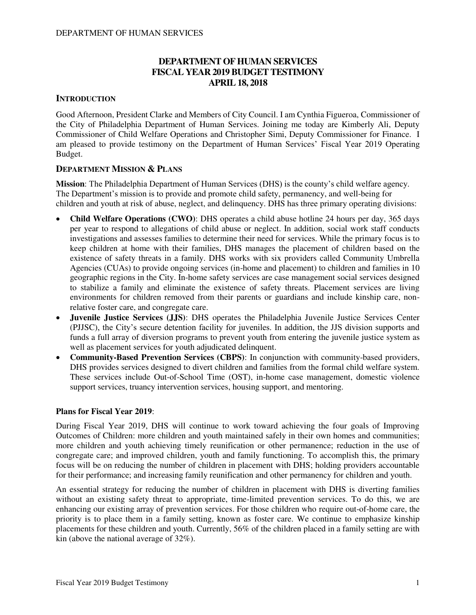# **DEPARTMENT OF HUMAN SERVICES FISCAL YEAR 2019 BUDGET TESTIMONY APRIL 18, 2018**

## **INTRODUCTION**

Good Afternoon, President Clarke and Members of City Council. I am Cynthia Figueroa, Commissioner of the City of Philadelphia Department of Human Services. Joining me today are Kimberly Ali, Deputy Commissioner of Child Welfare Operations and Christopher Simi, Deputy Commissioner for Finance. I am pleased to provide testimony on the Department of Human Services' Fiscal Year 2019 Operating Budget.

## **DEPARTMENT MISSION & PLANS**

**Mission**: The Philadelphia Department of Human Services (DHS) is the county's child welfare agency. The Department's mission is to provide and promote child safety, permanency, and well-being for children and youth at risk of abuse, neglect, and delinquency. DHS has three primary operating divisions:

- **Child Welfare Operations (CWO)**: DHS operates a child abuse hotline 24 hours per day, 365 days per year to respond to allegations of child abuse or neglect. In addition, social work staff conducts investigations and assesses families to determine their need for services. While the primary focus is to keep children at home with their families, DHS manages the placement of children based on the existence of safety threats in a family. DHS works with six providers called Community Umbrella Agencies (CUAs) to provide ongoing services (in-home and placement) to children and families in 10 geographic regions in the City. In-home safety services are case management social services designed to stabilize a family and eliminate the existence of safety threats. Placement services are living environments for children removed from their parents or guardians and include kinship care, nonrelative foster care, and congregate care.
- **Juvenile Justice Services (JJS)**: DHS operates the Philadelphia Juvenile Justice Services Center (PJJSC), the City's secure detention facility for juveniles. In addition, the JJS division supports and funds a full array of diversion programs to prevent youth from entering the juvenile justice system as well as placement services for youth adjudicated delinquent.
- **Community-Based Prevention Services (CBPS)**: In conjunction with community-based providers, DHS provides services designed to divert children and families from the formal child welfare system. These services include Out-of-School Time (OST), in-home case management, domestic violence support services, truancy intervention services, housing support, and mentoring.

### **Plans for Fiscal Year 2019**:

During Fiscal Year 2019, DHS will continue to work toward achieving the four goals of Improving Outcomes of Children: more children and youth maintained safely in their own homes and communities; more children and youth achieving timely reunification or other permanence; reduction in the use of congregate care; and improved children, youth and family functioning. To accomplish this, the primary focus will be on reducing the number of children in placement with DHS; holding providers accountable for their performance; and increasing family reunification and other permanency for children and youth.

An essential strategy for reducing the number of children in placement with DHS is diverting families without an existing safety threat to appropriate, time-limited prevention services. To do this, we are enhancing our existing array of prevention services. For those children who require out-of-home care, the priority is to place them in a family setting, known as foster care. We continue to emphasize kinship placements for these children and youth. Currently, 56% of the children placed in a family setting are with kin (above the national average of 32%).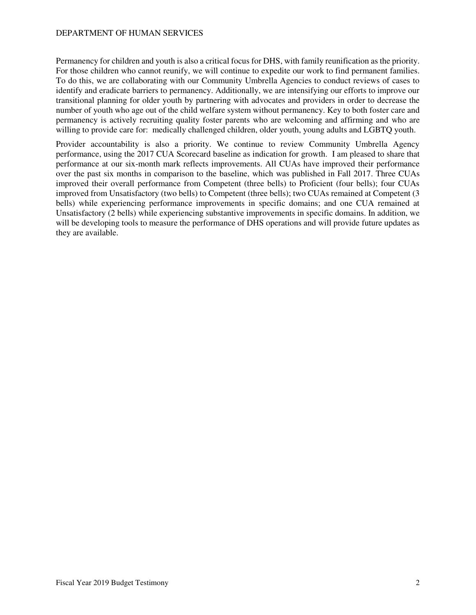Permanency for children and youth is also a critical focus for DHS, with family reunification as the priority. For those children who cannot reunify, we will continue to expedite our work to find permanent families. To do this, we are collaborating with our Community Umbrella Agencies to conduct reviews of cases to identify and eradicate barriers to permanency. Additionally, we are intensifying our efforts to improve our transitional planning for older youth by partnering with advocates and providers in order to decrease the number of youth who age out of the child welfare system without permanency. Key to both foster care and permanency is actively recruiting quality foster parents who are welcoming and affirming and who are willing to provide care for: medically challenged children, older youth, young adults and LGBTQ youth.

Provider accountability is also a priority. We continue to review Community Umbrella Agency performance, using the 2017 CUA Scorecard baseline as indication for growth. I am pleased to share that performance at our six-month mark reflects improvements. All CUAs have improved their performance over the past six months in comparison to the baseline, which was published in Fall 2017. Three CUAs improved their overall performance from Competent (three bells) to Proficient (four bells); four CUAs improved from Unsatisfactory (two bells) to Competent (three bells); two CUAs remained at Competent (3 bells) while experiencing performance improvements in specific domains; and one CUA remained at Unsatisfactory (2 bells) while experiencing substantive improvements in specific domains. In addition, we will be developing tools to measure the performance of DHS operations and will provide future updates as they are available.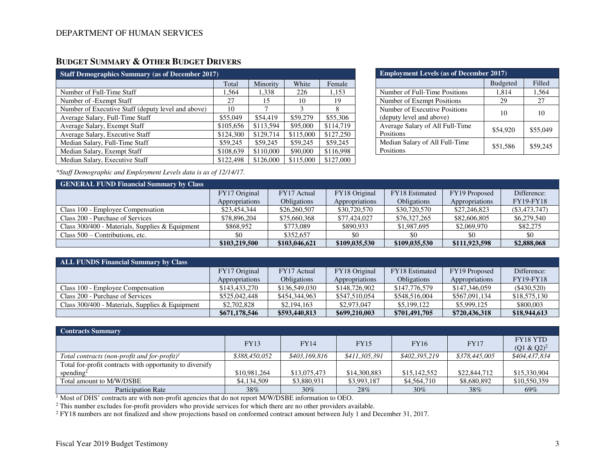# **BUDGET SUMMARY & OTHER BUDGET DRIVERS**

| <b>Staff Demographics Summary (as of December 2017)</b> |           |           |           |           |  |  |  |  |  |
|---------------------------------------------------------|-----------|-----------|-----------|-----------|--|--|--|--|--|
|                                                         | Total     | Minority  | White     | Female    |  |  |  |  |  |
| Number of Full-Time Staff                               | 1.564     | 1,338     | 226       | 1,153     |  |  |  |  |  |
| Number of -Exempt Staff                                 | 27        | 15        | 10        | 19        |  |  |  |  |  |
| Number of Executive Staff (deputy level and above)      | 10        | 7         | 3         | 8         |  |  |  |  |  |
| Average Salary, Full-Time Staff                         | \$55,049  | \$54,419  | \$59,279  | \$55,306  |  |  |  |  |  |
| Average Salary, Exempt Staff                            | \$105,656 | \$113.594 | \$95,000  | \$114,719 |  |  |  |  |  |
| Average Salary, Executive Staff                         | \$124,300 | \$129,714 | \$115,000 | \$127,250 |  |  |  |  |  |
| Median Salary, Full-Time Staff                          | \$59,245  | \$59,245  | \$59,245  | \$59,245  |  |  |  |  |  |
| Median Salary, Exempt Staff                             | \$108,639 | \$110,000 | \$90,000  | \$116,998 |  |  |  |  |  |
| Median Salary, Executive Staff                          | \$122,498 | \$126,000 | \$115,000 | \$127,000 |  |  |  |  |  |

| <b>Employment Levels (as of December 2017)</b>            |                 |          |  |  |  |  |  |
|-----------------------------------------------------------|-----------------|----------|--|--|--|--|--|
|                                                           | <b>Budgeted</b> | Filled   |  |  |  |  |  |
| Number of Full-Time Positions                             | 1,814           | 1,564    |  |  |  |  |  |
| Number of Exempt Positions                                | 29              | 27       |  |  |  |  |  |
| Number of Executive Positions<br>(deputy level and above) | 10              | 10       |  |  |  |  |  |
| Average Salary of All Full-Time<br>Positions              | \$54,920        | \$55,049 |  |  |  |  |  |
| Median Salary of All Full-Time<br>Positions               | \$51,586        | \$59,245 |  |  |  |  |  |

*\*Staff Demographic and Employment Levels data is as of 12/14/17.* 

| <b>GENERAL FUND Financial Summary by Class</b>    |                |                    |                |                    |                |                  |  |  |  |  |
|---------------------------------------------------|----------------|--------------------|----------------|--------------------|----------------|------------------|--|--|--|--|
|                                                   | FY17 Original  | FY17 Actual        | FY18 Original  | FY18 Estimated     | FY19 Proposed  | Difference:      |  |  |  |  |
|                                                   | Appropriations | <b>Obligations</b> | Appropriations | <b>Obligations</b> | Appropriations | <b>FY19-FY18</b> |  |  |  |  |
| Class 100 - Employee Compensation                 | \$23,454,344   | \$26,260,507       | \$30,720,570   | \$30,720,570       | \$27,246,823   | $(\$3,473,747)$  |  |  |  |  |
| Class 200 - Purchase of Services                  | \$78,896,204   | \$75,660,368       | \$77,424,027   | \$76,327,265       | \$82,606,805   | \$6,279,540      |  |  |  |  |
| Class $300/400$ - Materials, Supplies & Equipment | \$868,952      | \$773,089          | \$890,933      | \$1,987,695        | \$2,069,970    | \$82,275         |  |  |  |  |
| Class $500 -$ Contributions, etc.                 |                | \$352,657          | \$0            |                    | \$0            | \$0              |  |  |  |  |
|                                                   | \$103,219,500  | \$103,046,621      | \$109,035,530  | \$109,035,530      | \$111.923.598  | \$2,888,068      |  |  |  |  |

| <b>ALL FUNDS Financial Summary by Class</b>       |                |                    |                |                       |                |                  |  |  |  |  |  |
|---------------------------------------------------|----------------|--------------------|----------------|-----------------------|----------------|------------------|--|--|--|--|--|
|                                                   | FY17 Original  | FY17 Actual        | FY18 Original  | <b>FY18</b> Estimated | FY19 Proposed  | Difference:      |  |  |  |  |  |
|                                                   | Appropriations | <b>Obligations</b> | Appropriations | <b>Obligations</b>    | Appropriations | <b>FY19-FY18</b> |  |  |  |  |  |
| Class 100 - Employee Compensation                 | \$143,433,270  | \$136,549,030      | \$148,726,902  | \$147,776,579         | \$147,346,059  | $(\$430,520)$    |  |  |  |  |  |
| Class 200 - Purchase of Services                  | \$525,042,448  | \$454,344,963      | \$547,510,054  | \$548,516,004         | \$567,091,134  | \$18,575,130     |  |  |  |  |  |
| Class $300/400$ - Materials, Supplies & Equipment | \$2,702,828    | \$2,194,163        | \$2,973,047    | \$5,199,122           | \$5,999,125    | \$800,003        |  |  |  |  |  |
|                                                   | \$671,178,546  | \$593,440,813      | \$699,210,003  | \$701,491,705         | \$720,436,318  | \$18,944,613     |  |  |  |  |  |

| <b>Contracts Summary</b>                                 |               |               |               |               |               |                                  |
|----------------------------------------------------------|---------------|---------------|---------------|---------------|---------------|----------------------------------|
|                                                          | <b>FY13</b>   | <b>FY14</b>   | <b>FY15</b>   | <b>FY16</b>   | <b>FY17</b>   | <b>FY18 YTD</b><br>$(Q1 & Q2)^2$ |
| Total contracts (non-profit and for-profit) <sup>1</sup> | \$388,450,052 | \$403,169,816 | \$411,305,391 | \$402,395,219 | \$378,445,005 | \$404,437,834                    |
| Total for-profit contracts with opportunity to diversify |               |               |               |               |               |                                  |
| spending <sup>2</sup>                                    | \$10,981,264  | \$13,075,473  | \$14,300,883  | \$15,142,552  | \$22,844,712  | \$15,330,904                     |
| Total amount to M/W/DSBE                                 | \$4,134,509   | \$3,880,931   | \$3,993,187   | \$4,564,710   | \$8,680,892   | \$10,550,359                     |
| Participation Rate                                       | 38%           | $30\%$        | 28%           | $30\%$        | 38%           | 69%                              |

<sup>1</sup> Most of DHS' contracts are with non-profit agencies that do not report M/W/DSBE information to OEO.

 $^2$  This number excludes for-profit providers who provide services for which there are no other providers available.<br> $^2$  FY18 numbers are not finalized and show projections based on conformed contract amount between Jul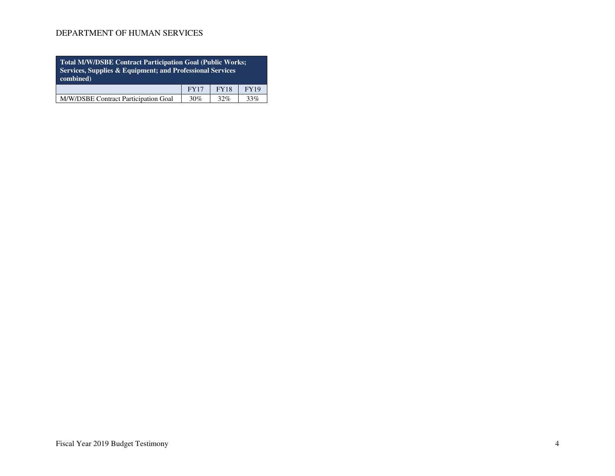| Total M/W/DSBE Contract Participation Goal (Public Works;<br>Services, Supplies & Equipment; and Professional Services<br>combined) |                                           |  |  |  |  |  |  |  |  |
|-------------------------------------------------------------------------------------------------------------------------------------|-------------------------------------------|--|--|--|--|--|--|--|--|
|                                                                                                                                     | <b>FY18</b><br><b>FY19</b><br><b>FY17</b> |  |  |  |  |  |  |  |  |
| M/W/DSBE Contract Participation Goal<br>30%<br>32%<br>33%                                                                           |                                           |  |  |  |  |  |  |  |  |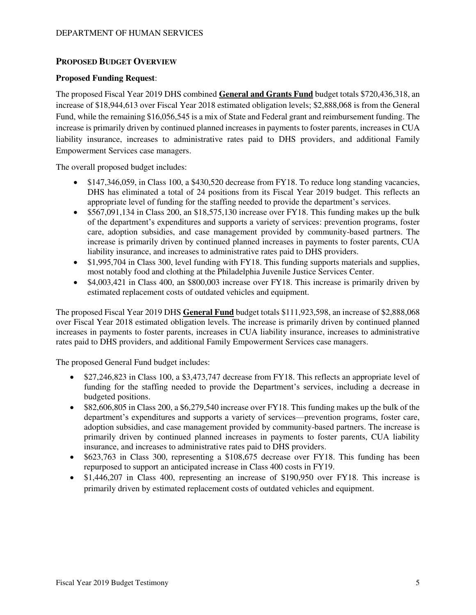# **PROPOSED BUDGET OVERVIEW**

### **Proposed Funding Request**:

The proposed Fiscal Year 2019 DHS combined **General and Grants Fund** budget totals \$720,436,318, an increase of \$18,944,613 over Fiscal Year 2018 estimated obligation levels; \$2,888,068 is from the General Fund, while the remaining \$16,056,545 is a mix of State and Federal grant and reimbursement funding. The increase is primarily driven by continued planned increases in payments to foster parents, increases in CUA liability insurance, increases to administrative rates paid to DHS providers, and additional Family Empowerment Services case managers.

The overall proposed budget includes:

- \$147,346,059, in Class 100, a \$430,520 decrease from FY18. To reduce long standing vacancies, DHS has eliminated a total of 24 positions from its Fiscal Year 2019 budget. This reflects an appropriate level of funding for the staffing needed to provide the department's services.
- \$567,091,134 in Class 200, an \$18,575,130 increase over FY18. This funding makes up the bulk of the department's expenditures and supports a variety of services: prevention programs, foster care, adoption subsidies, and case management provided by community-based partners. The increase is primarily driven by continued planned increases in payments to foster parents, CUA liability insurance, and increases to administrative rates paid to DHS providers.
- \$1,995,704 in Class 300, level funding with FY18. This funding supports materials and supplies, most notably food and clothing at the Philadelphia Juvenile Justice Services Center.
- \$4,003,421 in Class 400, an \$800,003 increase over FY18. This increase is primarily driven by estimated replacement costs of outdated vehicles and equipment.

The proposed Fiscal Year 2019 DHS **General Fund** budget totals \$111,923,598, an increase of \$2,888,068 over Fiscal Year 2018 estimated obligation levels. The increase is primarily driven by continued planned increases in payments to foster parents, increases in CUA liability insurance, increases to administrative rates paid to DHS providers, and additional Family Empowerment Services case managers.

The proposed General Fund budget includes:

- \$27,246,823 in Class 100, a \$3,473,747 decrease from FY18. This reflects an appropriate level of funding for the staffing needed to provide the Department's services, including a decrease in budgeted positions.
- \$82,606,805 in Class 200, a \$6,279,540 increase over FY18. This funding makes up the bulk of the department's expenditures and supports a variety of services—prevention programs, foster care, adoption subsidies, and case management provided by community-based partners. The increase is primarily driven by continued planned increases in payments to foster parents, CUA liability insurance, and increases to administrative rates paid to DHS providers.
- \$623,763 in Class 300, representing a \$108,675 decrease over FY18. This funding has been repurposed to support an anticipated increase in Class 400 costs in FY19.
- \$1,446,207 in Class 400, representing an increase of \$190,950 over FY18. This increase is primarily driven by estimated replacement costs of outdated vehicles and equipment.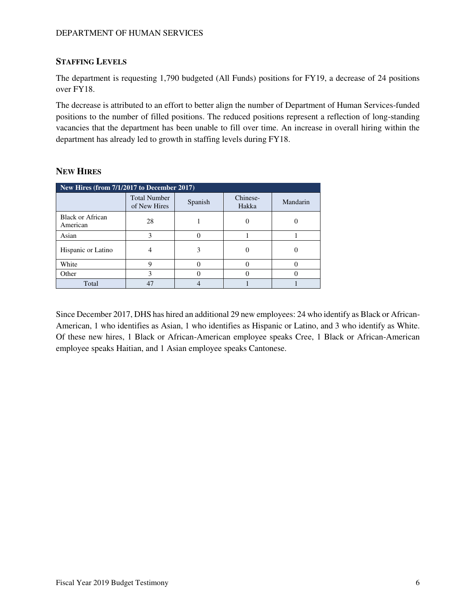# **STAFFING LEVELS**

The department is requesting 1,790 budgeted (All Funds) positions for FY19, a decrease of 24 positions over FY18.

The decrease is attributed to an effort to better align the number of Department of Human Services-funded positions to the number of filled positions. The reduced positions represent a reflection of long-standing vacancies that the department has been unable to fill over time. An increase in overall hiring within the department has already led to growth in staffing levels during FY18.

| New Hires (from 7/1/2017 to December 2017) |                                     |         |                   |          |  |  |  |  |  |
|--------------------------------------------|-------------------------------------|---------|-------------------|----------|--|--|--|--|--|
|                                            | <b>Total Number</b><br>of New Hires | Spanish | Chinese-<br>Hakka | Mandarin |  |  |  |  |  |
| <b>Black or African</b><br>American        | 28                                  |         |                   |          |  |  |  |  |  |
| Asian                                      | 3                                   |         |                   |          |  |  |  |  |  |
| Hispanic or Latino                         |                                     | 3       |                   |          |  |  |  |  |  |
| White                                      | q                                   |         |                   |          |  |  |  |  |  |
| Other                                      | 3                                   |         |                   |          |  |  |  |  |  |
| Total                                      | 47                                  |         |                   |          |  |  |  |  |  |

# **NEW HIRES**

Since December 2017, DHS has hired an additional 29 new employees: 24 who identify as Black or African-American, 1 who identifies as Asian, 1 who identifies as Hispanic or Latino, and 3 who identify as White. Of these new hires, 1 Black or African-American employee speaks Cree, 1 Black or African-American employee speaks Haitian, and 1 Asian employee speaks Cantonese.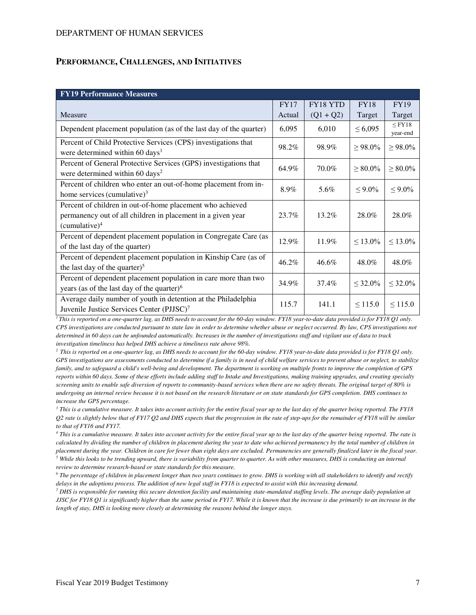#### **PERFORMANCE, CHALLENGES, AND INITIATIVES**

| <b>FY19 Performance Measures</b>                                                                                                                      |        |             |               |                         |
|-------------------------------------------------------------------------------------------------------------------------------------------------------|--------|-------------|---------------|-------------------------|
|                                                                                                                                                       | FY17   | FY18 YTD    | <b>FY18</b>   | <b>FY19</b>             |
| Measure                                                                                                                                               | Actual | $(Q1 + Q2)$ | Target        | Target                  |
| Dependent placement population (as of the last day of the quarter)                                                                                    | 6,095  | 6,010       | $\leq 6,095$  | $\leq$ FY18<br>year-end |
| Percent of Child Protective Services (CPS) investigations that<br>were determined within 60 days <sup>1</sup>                                         | 98.2%  | 98.9%       | $\geq 98.0\%$ | $\geq 98.0\%$           |
| Percent of General Protective Services (GPS) investigations that<br>were determined within 60 days <sup>2</sup>                                       | 64.9%  | 70.0%       | $\geq 80.0\%$ | $\geq 80.0\%$           |
| Percent of children who enter an out-of-home placement from in-<br>home services (cumulative) $3$                                                     | 8.9%   | 5.6%        | $\leq 9.0\%$  | $\leq 9.0\%$            |
| Percent of children in out-of-home placement who achieved<br>permanency out of all children in placement in a given year<br>(cumulative) <sup>4</sup> | 23.7%  | 13.2%       | 28.0%         | 28.0%                   |
| Percent of dependent placement population in Congregate Care (as<br>of the last day of the quarter)                                                   | 12.9%  | 11.9%       | $\leq 13.0\%$ | $\leq 13.0\%$           |
| Percent of dependent placement population in Kinship Care (as of<br>the last day of the quarter) <sup>5</sup>                                         | 46.2%  | 46.6%       | 48.0%         | 48.0%                   |
| Percent of dependent placement population in care more than two<br>years (as of the last day of the quarter) $6$                                      | 34.9%  | 37.4%       | $\leq 32.0\%$ | $\leq 32.0\%$           |
| Average daily number of youth in detention at the Philadelphia<br>Juvenile Justice Services Center (PJJSC) <sup>7</sup>                               | 115.7  | 141.1       | $\leq 115.0$  | $\leq 115.0$            |

*<sup>1</sup>This is reported on a one-quarter lag, as DHS needs to account for the 60-day window. FY18 year-to-date data provided is for FY18 Q1 only. CPS investigations are conducted pursuant to state law in order to determine whether abuse or neglect occurred. By law, CPS investigations not determined in 60 days can be unfounded automatically. Increases in the number of investigations staff and vigilant use of data to track investigation timeliness has helped DHS achieve a timeliness rate above 98%.* 

*<sup>2</sup> This is reported on a one-quarter lag, as DHS needs to account for the 60-day window. FY18 year-to-date data provided is for FY18 Q1 only. GPS investigations are assessments conducted to determine if a family is in need of child welfare services to prevent abuse or neglect, to stabilize family, and to safeguard a child's well-being and development. The department is working on multiple fronts to improve the completion of GPS reports within 60 days. Some of these efforts include adding staff to Intake and Investigations, making training upgrades, and creating specialty screening units to enable safe diversion of reports to community-based services when there are no safety threats. The original target of 80% is undergoing an internal review because it is not based on the research literature or on state standards for GPS completion. DHS continues to increase the GPS percentage.* 

*3 This is a cumulative measure. It takes into account activity for the entire fiscal year up to the last day of the quarter being reported. The FY18 Q2 rate is slightly below that of FY17 Q2 and DHS expects that the progression in the rate of step-ups for the remainder of FY18 will be similar to that of FY16 and FY17.* 

*4 This is a cumulative measure. It takes into account activity for the entire fiscal year up to the last day of the quarter being reported. The rate is calculated by dividing the number of children in placement during the year to date who achieved permanency by the total number of children in placement during the year. Children in care for fewer than eight days are excluded. Permanencies are generally finalized later in the fiscal year.* 

 $<sup>5</sup>$  While this looks to be trending upward, there is variability from quarter to quarter. As with other measures, DHS is conducting an internal</sup> *review to determine research-based or state standards for this measure.* 

*6 The percentage of children in placement longer than two years continues to grow. DHS is working with all stakeholders to identify and rectify delays in the adoptions process. The addition of new legal staff in FY18 is expected to assist with this increasing demand.* 

<sup>7</sup> DHS is responsible for running this secure detention facility and maintaining state-mandated staffing levels. The average daily population at *JJSC for FY18 Q1 is significantly higher than the same period in FY17. While it is known that the increase is due primarily to an increase in the length of stay, DHS is looking more closely at determining the reasons behind the longer stays.*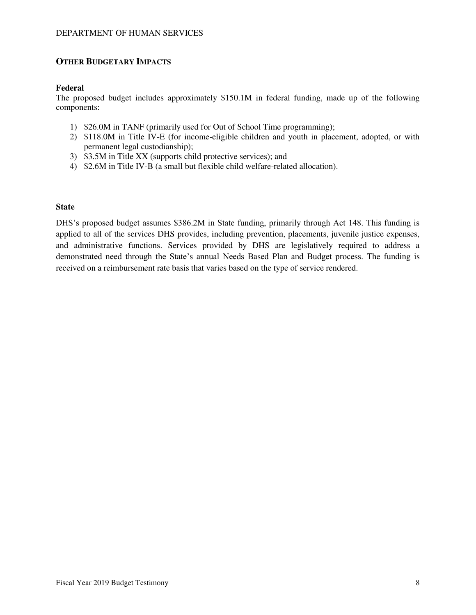### **OTHER BUDGETARY IMPACTS**

### **Federal**

The proposed budget includes approximately \$150.1M in federal funding, made up of the following components:

- 1) \$26.0M in TANF (primarily used for Out of School Time programming);
- 2) \$118.0M in Title IV-E (for income-eligible children and youth in placement, adopted, or with permanent legal custodianship);
- 3) \$3.5M in Title XX (supports child protective services); and
- 4) \$2.6M in Title IV-B (a small but flexible child welfare-related allocation).

### **State**

DHS's proposed budget assumes \$386.2M in State funding, primarily through Act 148. This funding is applied to all of the services DHS provides, including prevention, placements, juvenile justice expenses, and administrative functions. Services provided by DHS are legislatively required to address a demonstrated need through the State's annual Needs Based Plan and Budget process. The funding is received on a reimbursement rate basis that varies based on the type of service rendered.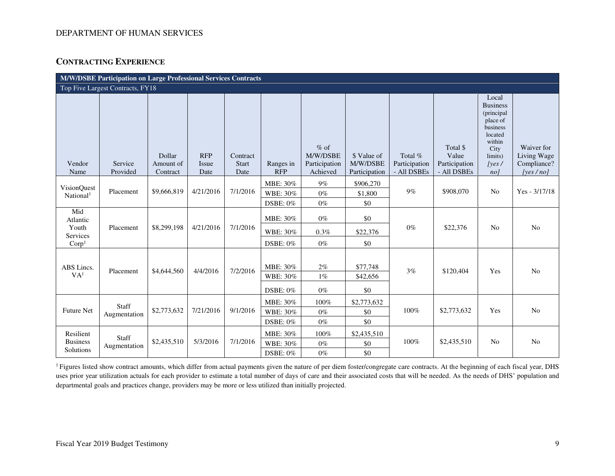# **CONTRACTING EXPERIENCE**

|                                             | M/W/DSBE Participation on Large Professional Services Contracts |                                 |                             |                                  |                                     |                                                 |                                          |                                           |                                                   |                                                                                                                        |                                                          |
|---------------------------------------------|-----------------------------------------------------------------|---------------------------------|-----------------------------|----------------------------------|-------------------------------------|-------------------------------------------------|------------------------------------------|-------------------------------------------|---------------------------------------------------|------------------------------------------------------------------------------------------------------------------------|----------------------------------------------------------|
|                                             | Top Five Largest Contracts, FY18                                |                                 |                             |                                  |                                     |                                                 |                                          |                                           |                                                   |                                                                                                                        |                                                          |
| Vendor<br>Name                              | Service<br>Provided                                             | Dollar<br>Amount of<br>Contract | <b>RFP</b><br>Issue<br>Date | Contract<br><b>Start</b><br>Date | Ranges in<br><b>RFP</b>             | $%$ of<br>M/W/DSBE<br>Participation<br>Achieved | \$ Value of<br>M/W/DSBE<br>Participation | Total $%$<br>Participation<br>- All DSBEs | Total \$<br>Value<br>Participation<br>- All DSBEs | Local<br><b>Business</b><br>(principal<br>place of<br>business<br>located<br>within<br>City<br>limits)<br> yes <br>no1 | Waiver for<br>Living Wage<br>Compliance?<br>[yes $/$ no] |
|                                             |                                                                 |                                 |                             |                                  | MBE: 30%                            | $9\%$                                           | \$906,270                                |                                           |                                                   |                                                                                                                        |                                                          |
| <b>VisionQuest</b><br>National <sup>1</sup> | Placement                                                       | \$9,666,819                     | 4/21/2016                   | 7/1/2016                         | WBE: 30%                            | $0\%$                                           | \$1,800                                  | $9\%$                                     | \$908,070                                         | N <sub>0</sub>                                                                                                         | $Yes - 3/17/18$                                          |
|                                             |                                                                 |                                 |                             |                                  | DSBE: 0%                            | $0\%$                                           | \$0                                      |                                           |                                                   |                                                                                                                        |                                                          |
| Mid<br>Atlantic                             |                                                                 |                                 |                             |                                  | MBE: 30%                            | $0\%$                                           | \$0                                      |                                           |                                                   |                                                                                                                        |                                                          |
| Youth<br>Services                           | Placement                                                       | \$8,299,198                     | 4/21/2016                   | 7/1/2016                         | WBE: 30%                            | 0.3%                                            | \$22,376                                 | $0\%$                                     | \$22,376                                          | N <sub>0</sub>                                                                                                         | N <sub>o</sub>                                           |
| Corp <sup>1</sup>                           |                                                                 |                                 |                             |                                  | <b>DSBE: 0%</b>                     | $0\%$                                           | \$0                                      |                                           |                                                   |                                                                                                                        |                                                          |
| ABS Lincs.<br>VA <sup>1</sup>               | Placement                                                       | \$4,644,560                     | 4/4/2016                    | 7/2/2016                         | MBE: 30%<br>WBE: 30%<br>DSBE: $0\%$ | 2%<br>$1\%$<br>$0\%$                            | \$77,748<br>\$42,656<br>\$0              | 3%                                        | \$120,404                                         | Yes                                                                                                                    | N <sub>o</sub>                                           |
|                                             | Staff                                                           |                                 |                             |                                  | MBE: 30%                            | 100%                                            | \$2,773,632                              |                                           |                                                   |                                                                                                                        |                                                          |
| <b>Future Net</b>                           | Augmentation                                                    | \$2,773,632                     | 7/21/2016                   | 9/1/2016                         | WBE: 30%                            | $0\%$                                           | \$0                                      | 100%                                      | \$2,773,632                                       | Yes                                                                                                                    | N <sub>o</sub>                                           |
|                                             |                                                                 |                                 |                             |                                  | DSBE: 0%                            | $0\%$                                           | \$0                                      |                                           |                                                   |                                                                                                                        |                                                          |
| Resilient                                   | <b>Staff</b>                                                    |                                 |                             |                                  | MBE: 30%                            | 100%                                            | \$2,435,510                              |                                           |                                                   |                                                                                                                        |                                                          |
| <b>Business</b>                             | Augmentation                                                    | \$2,435,510                     | 5/3/2016                    | 7/1/2016                         | WBE: 30%                            | $0\%$                                           | \$0                                      | 100%                                      | \$2,435,510                                       | N <sub>o</sub>                                                                                                         | N <sub>o</sub>                                           |
| Solutions                                   |                                                                 |                                 |                             |                                  | DSBE: $0\%$                         | $0\%$                                           | \$0                                      |                                           |                                                   |                                                                                                                        |                                                          |

<sup>1</sup> Figures listed show contract amounts, which differ from actual payments given the nature of per diem foster/congregate care contracts. At the beginning of each fiscal year, DHS uses prior year utilization actuals for each provider to estimate a total number of days of care and their associated costs that will be needed. As the needs of DHS' population and departmental goals and practices change, providers may be more or less utilized than initially projected.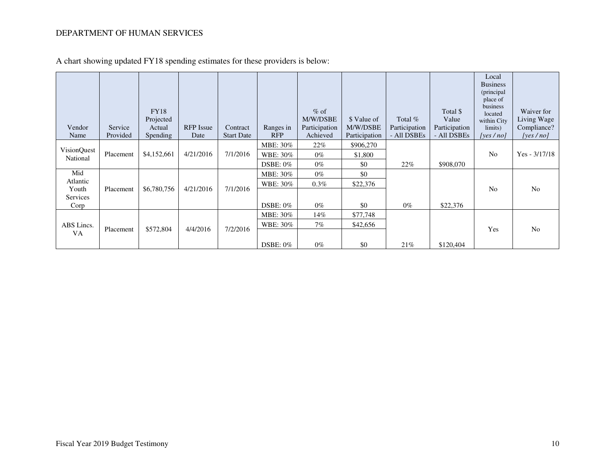| Vendor<br>Name                               | Service<br>Provided | <b>FY18</b><br>Projected<br>Actual<br><b>Spending</b> | <b>RFP</b> Issue<br>Date | Contract<br><b>Start Date</b> | Ranges in<br><b>RFP</b>             | $%$ of<br>M/W/DSBE<br>Participation<br>Achieved | \$ Value of<br>M/W/DSBE<br>Participation | Total $%$<br>Participation<br>- All DSBEs | Total \$<br>Value<br>Participation<br>- All DSBEs | Local<br><b>Business</b><br>(principal<br>place of<br>business<br>located<br>within City<br>limits)<br>[yes $/no$ ] | Waiver for<br>Living Wage<br>Compliance?<br>[yes $/no$ ] |
|----------------------------------------------|---------------------|-------------------------------------------------------|--------------------------|-------------------------------|-------------------------------------|-------------------------------------------------|------------------------------------------|-------------------------------------------|---------------------------------------------------|---------------------------------------------------------------------------------------------------------------------|----------------------------------------------------------|
| <b>VisionQuest</b><br>National               | Placement           | \$4,152,661                                           | 4/21/2016                | 7/1/2016                      | MBE: 30%<br>WBE: 30%<br>DSBE: $0\%$ | 22%<br>$0\%$<br>$0\%$                           | \$906,270<br>\$1,800<br>\$0              | 22%                                       | \$908,070                                         | N <sub>0</sub>                                                                                                      | $Yes - 3/17/18$                                          |
| Mid<br>Atlantic<br>Youth<br>Services<br>Corp | Placement           | \$6,780,756                                           | 4/21/2016                | 7/1/2016                      | MBE: 30%<br>WBE: 30%<br>DSBE: $0\%$ | $0\%$<br>$0.3\%$<br>$0\%$                       | \$0<br>\$22,376<br>\$0                   | $0\%$                                     | \$22,376                                          | N <sub>0</sub>                                                                                                      | N <sub>0</sub>                                           |
| ABS Lincs.<br>VA                             | Placement           | \$572,804                                             | 4/4/2016                 | 7/2/2016                      | MBE: 30%<br>WBE: 30%<br>DSBE: $0\%$ | 14%<br>7%<br>$0\%$                              | \$77,748<br>\$42,656<br>\$0              | 21%                                       | \$120,404                                         | Yes                                                                                                                 | N <sub>o</sub>                                           |

A chart showing updated FY18 spending estimates for these providers is below: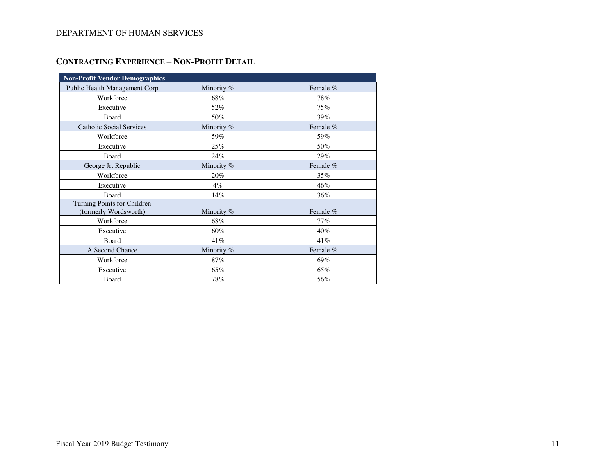# **CONTRACTING EXPERIENCE – NON-PROFIT DETAIL**

| <b>Non-Profit Vendor Demographics</b>                |              |          |  |
|------------------------------------------------------|--------------|----------|--|
| Public Health Management Corp                        | Minority %   | Female % |  |
| Workforce                                            | 68%          | 78%      |  |
| Executive                                            | 52%          | 75%      |  |
| Board                                                | 50%          | 39%      |  |
| <b>Catholic Social Services</b>                      | Minority %   | Female % |  |
| Workforce                                            | 59%          | 59%      |  |
| Executive                                            | 25%          | 50%      |  |
| Board                                                | 24%          | 29%      |  |
| George Jr. Republic                                  | Minority %   | Female % |  |
| Workforce                                            | 20%          | 35%      |  |
| Executive                                            | $4\%$        | 46%      |  |
| Board                                                | 14%          | 36%      |  |
| Turning Points for Children<br>(formerly Wordsworth) | Minority $%$ | Female % |  |
| Workforce                                            | 68%          | 77%      |  |
| Executive                                            | 60%          | 40%      |  |
| Board                                                | 41%          | 41%      |  |
| A Second Chance                                      | Minority %   | Female % |  |
| Workforce                                            | 87%          | 69%      |  |
| Executive                                            | 65%          | 65%      |  |
| Board                                                | 78%          | 56%      |  |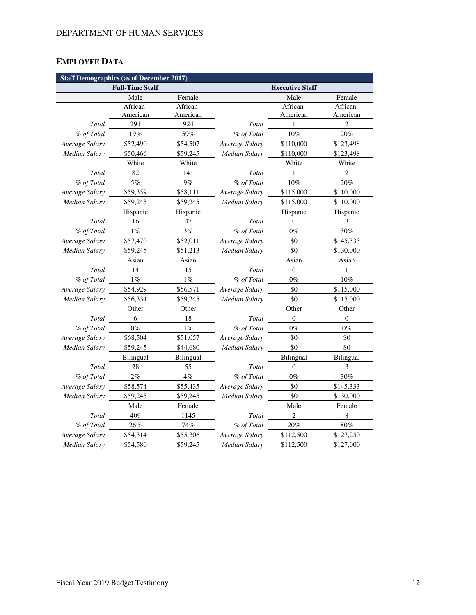# **EMPLOYEE DATA**

| <b>Staff Demographics (as of December 2017)</b> |                        |           |                      |                        |                |  |  |  |
|-------------------------------------------------|------------------------|-----------|----------------------|------------------------|----------------|--|--|--|
|                                                 | <b>Full-Time Staff</b> |           |                      | <b>Executive Staff</b> |                |  |  |  |
|                                                 | Male                   | Female    |                      | Male                   | Female         |  |  |  |
|                                                 | African-               | African-  |                      | African-               | African-       |  |  |  |
|                                                 | American               | American  |                      | American               | American       |  |  |  |
| Total                                           | 291                    | 924       | Total                | 1                      | $\overline{c}$ |  |  |  |
| % of Total                                      | 19%                    | 59%       | % of Total           | 10%                    | 20%            |  |  |  |
| Average Salary                                  | \$52,490               | \$54,507  | Average Salary       | \$110,000              | \$123,498      |  |  |  |
| <b>Median Salary</b>                            | \$50,466               | \$59,245  | Median Salary        | \$110,000              | \$123,498      |  |  |  |
|                                                 | White                  | White     |                      | White                  | White          |  |  |  |
| Total                                           | 82                     | 141       | Total                | 1                      | $\overline{c}$ |  |  |  |
| % of Total                                      | 5%                     | 9%        | % of Total           | 10%                    | 20%            |  |  |  |
| Average Salary                                  | \$59,359               | \$58,111  | Average Salary       | \$115,000              | \$110,000      |  |  |  |
| Median Salary                                   | \$59,245               | \$59,245  | Median Salary        | \$115,000              | \$110,000      |  |  |  |
|                                                 | Hispanic               | Hispanic  |                      | Hispanic               | Hispanic       |  |  |  |
| Total                                           | 16                     | 47        | Total                | $\theta$               | 3              |  |  |  |
| % of Total                                      | $1\%$                  | 3%        | % of Total           | $0\%$                  | 30%            |  |  |  |
| Average Salary                                  | \$57,470               | \$52,011  | Average Salary       | \$0                    | \$145,333      |  |  |  |
| <b>Median Salary</b>                            | \$59,245               | \$51,213  | <b>Median Salary</b> | \$0                    | \$130,000      |  |  |  |
|                                                 | Asian                  | Asian     |                      | Asian                  | Asian          |  |  |  |
| Total                                           | 14                     | 15        | Total                | $\mathbf{0}$           | 1              |  |  |  |
| % of Total                                      | $1\%$                  | $1\%$     | % of Total           | $0\%$                  | 10%            |  |  |  |
| Average Salary                                  | \$54,929               | \$56,571  | Average Salary       | \$0                    | \$115,000      |  |  |  |
| <b>Median Salary</b>                            | \$56,334               | \$59,245  | Median Salary        | \$0                    | \$115,000      |  |  |  |
|                                                 | Other                  | Other     |                      | Other                  | Other          |  |  |  |
| Total                                           | 6                      | 18        | Total                | $\theta$               | $\overline{0}$ |  |  |  |
| % of Total                                      | $0\%$                  | $1\%$     | % of Total           | $0\%$                  | $0\%$          |  |  |  |
| Average Salary                                  | \$68,504               | \$51,057  | Average Salary       | \$0                    | \$0            |  |  |  |
| <b>Median Salary</b>                            | \$59,245               | \$44,680  | Median Salary        | \$0                    | \$0            |  |  |  |
|                                                 | Bilingual              | Bilingual |                      | <b>Bilingual</b>       | Bilingual      |  |  |  |
| Total                                           | 28                     | 55        | Total                | $\overline{0}$         | 3              |  |  |  |
| % of Total                                      | 2%                     | 4%        | % of Total           | $0\%$                  | 30%            |  |  |  |
| Average Salary                                  | \$58,574               | \$55,435  | Average Salary       | \$0                    | \$145,333      |  |  |  |
| <b>Median Salary</b>                            | \$59,245               | \$59,245  | <b>Median Salary</b> | \$0                    | \$130,000      |  |  |  |
|                                                 | Male                   | Female    |                      | Male                   | Female         |  |  |  |
| Total                                           | 409                    | 1145      | Total                | 2                      | 8              |  |  |  |
| % of Total                                      | $26\%$                 | 74%       | % of Total           | $20\%$                 | $80\%$         |  |  |  |
| Average Salary                                  | \$54,314               | \$55,306  | Average Salary       | \$112,500              | \$127,250      |  |  |  |
| Median Salary                                   | \$54,580               | \$59,245  | Median Salary        | \$112,500              | \$127,000      |  |  |  |